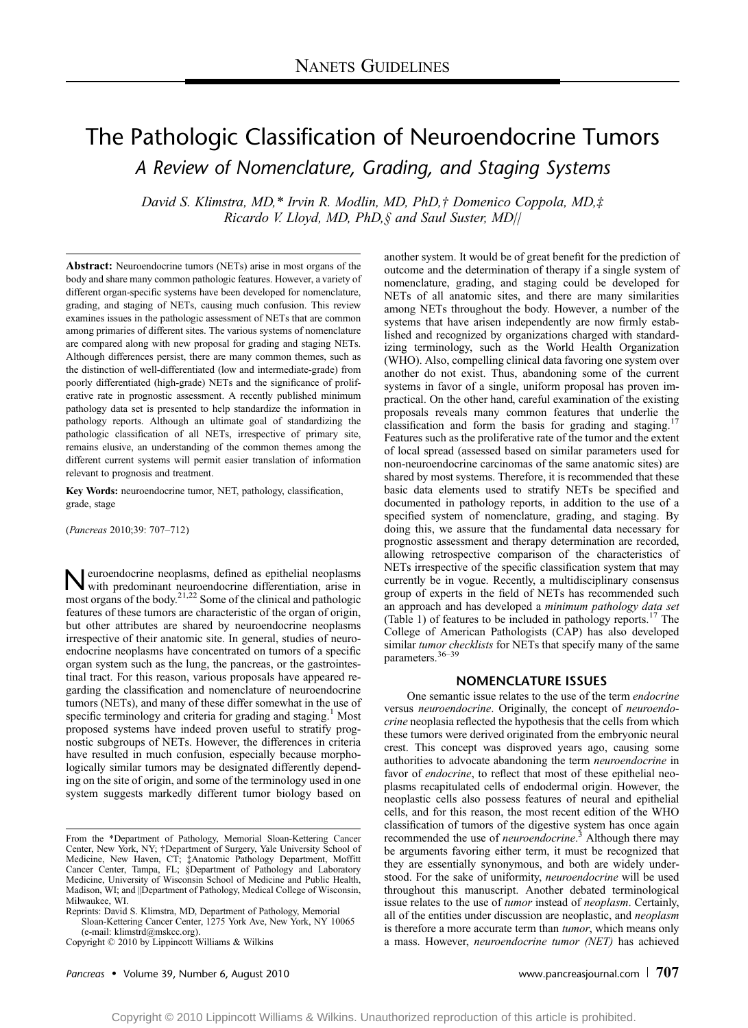# The Pathologic Classification of Neuroendocrine Tumors A Review of Nomenclature, Grading, and Staging Systems

David S. Klimstra, MD,\* Irvin R. Modlin, MD, PhD,† Domenico Coppola, MD,‡ Ricardo V. Lloyd, MD, PhD,  $\oint$  and Saul Suster, MD//

Abstract: Neuroendocrine tumors (NETs) arise in most organs of the body and share many common pathologic features. However, a variety of different organ-specific systems have been developed for nomenclature, grading, and staging of NETs, causing much confusion. This review examines issues in the pathologic assessment of NETs that are common among primaries of different sites. The various systems of nomenclature are compared along with new proposal for grading and staging NETs. Although differences persist, there are many common themes, such as the distinction of well-differentiated (low and intermediate-grade) from poorly differentiated (high-grade) NETs and the significance of proliferative rate in prognostic assessment. A recently published minimum pathology data set is presented to help standardize the information in pathology reports. Although an ultimate goal of standardizing the pathologic classification of all NETs, irrespective of primary site, remains elusive, an understanding of the common themes among the different current systems will permit easier translation of information relevant to prognosis and treatment.

Key Words: neuroendocrine tumor, NET, pathology, classification, grade, stage

(Pancreas 2010;39: 707-712)

We euroendocrine neoplasms, defined as epithelial neoplasms with predominant neuroendocrine differentiation, arise in most organs of the body.<sup>21,22</sup> Some of the clinical and pathologic features of these tumors are characteristic of the organ of origin, but other attributes are shared by neuroendocrine neoplasms irrespective of their anatomic site. In general, studies of neuroendocrine neoplasms have concentrated on tumors of a specific organ system such as the lung, the pancreas, or the gastrointestinal tract. For this reason, various proposals have appeared regarding the classification and nomenclature of neuroendocrine tumors (NETs), and many of these differ somewhat in the use of specific terminology and criteria for grading and staging.<sup>1</sup> Most proposed systems have indeed proven useful to stratify prognostic subgroups of NETs. However, the differences in criteria have resulted in much confusion, especially because morphologically similar tumors may be designated differently depending on the site of origin, and some of the terminology used in one system suggests markedly different tumor biology based on

Sloan-Kettering Cancer Center, 1275 York Ave, New York, NY 10065 (e-mail: klimstrd@mskcc.org).<br>Copyright © 2010 by Lippincott Williams & Wilkins

another system. It would be of great benefit for the prediction of outcome and the determination of therapy if a single system of nomenclature, grading, and staging could be developed for NETs of all anatomic sites, and there are many similarities among NETs throughout the body. However, a number of the systems that have arisen independently are now firmly established and recognized by organizations charged with standardizing terminology, such as the World Health Organization (WHO). Also, compelling clinical data favoring one system over another do not exist. Thus, abandoning some of the current systems in favor of a single, uniform proposal has proven impractical. On the other hand, careful examination of the existing proposals reveals many common features that underlie the classification and form the basis for grading and staging.<sup>1</sup> Features such as the proliferative rate of the tumor and the extent of local spread (assessed based on similar parameters used for non-neuroendocrine carcinomas of the same anatomic sites) are shared by most systems. Therefore, it is recommended that these basic data elements used to stratify NETs be specified and documented in pathology reports, in addition to the use of a specified system of nomenclature, grading, and staging. By doing this, we assure that the fundamental data necessary for prognostic assessment and therapy determination are recorded, allowing retrospective comparison of the characteristics of NETs irrespective of the specific classification system that may currently be in vogue. Recently, a multidisciplinary consensus group of experts in the field of NETs has recommended such an approach and has developed a minimum pathology data set (Table 1) of features to be included in pathology reports.17 The College of American Pathologists (CAP) has also developed similar *tumor checklists* for NETs that specify many of the same parameters.<sup>36–39</sup>

# NOMENCLATURE ISSUES

One semantic issue relates to the use of the term endocrine versus neuroendocrine. Originally, the concept of neuroendocrine neoplasia reflected the hypothesis that the cells from which these tumors were derived originated from the embryonic neural crest. This concept was disproved years ago, causing some authorities to advocate abandoning the term neuroendocrine in favor of *endocrine*, to reflect that most of these epithelial neoplasms recapitulated cells of endodermal origin. However, the neoplastic cells also possess features of neural and epithelial cells, and for this reason, the most recent edition of the WHO classification of tumors of the digestive system has once again recommended the use of *neuroendocrine*.<sup>3</sup> Although there may be arguments favoring either term, it must be recognized that they are essentially synonymous, and both are widely understood. For the sake of uniformity, neuroendocrine will be used throughout this manuscript. Another debated terminological issue relates to the use of tumor instead of neoplasm. Certainly, all of the entities under discussion are neoplastic, and neoplasm is therefore a more accurate term than *tumor*, which means only a mass. However, neuroendocrine tumor (NET) has achieved

From the \*Department of Pathology, Memorial Sloan-Kettering Cancer Center, New York, NY; †Department of Surgery, Yale University School of Medicine, New Haven, CT; ‡Anatomic Pathology Department, Moffitt Cancer Center, Tampa, FL; §Department of Pathology and Laboratory Medicine, University of Wisconsin School of Medicine and Public Health, Madison, WI; and  $\|\tilde{D}$ epartment of Pathology, Medical College of Wisconsin, Milwaukee, WI.

Reprints: David S. Klimstra, MD, Department of Pathology, Memorial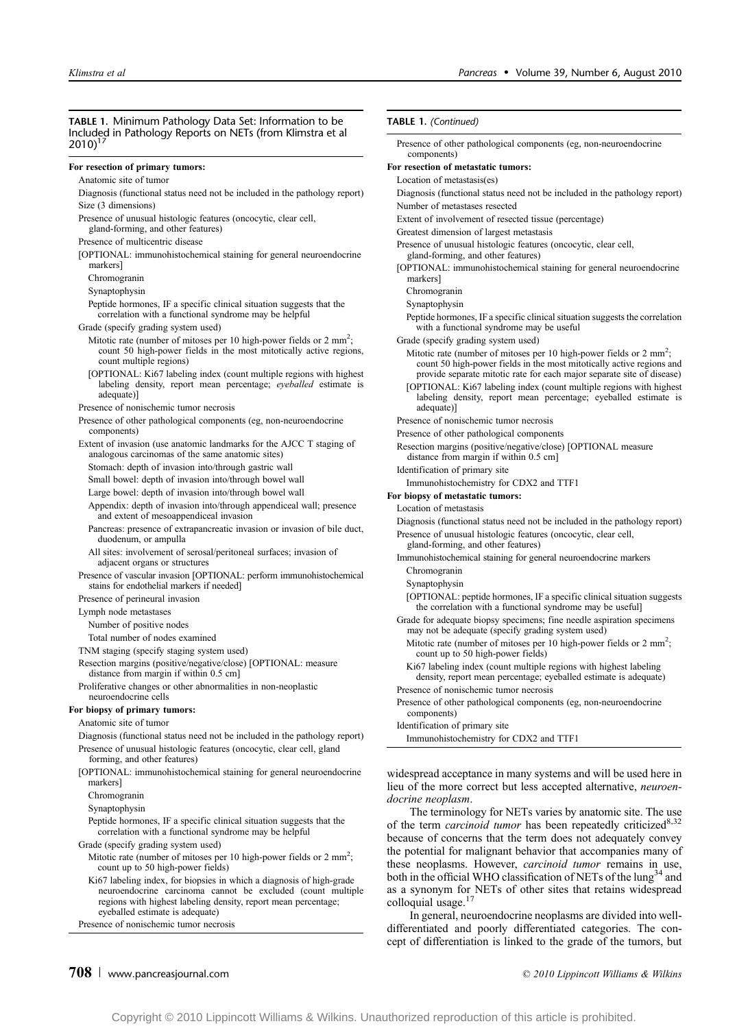#### TABLE 1. Minimum Pathology Data Set: Information to be Included in Pathology Reports on NETs (from Klimstra et al  $(2010)^{1}$

# For resection of primary tumors:

Anatomic site of tumor

- Diagnosis (functional status need not be included in the pathology report) Size (3 dimensions)
- Presence of unusual histologic features (oncocytic, clear cell, gland-forming, and other features)
- Presence of multicentric disease
- [OPTIONAL: immunohistochemical staining for general neuroendocrine markers]
	-
	- Chromogranin
	- Synaptophysin

Peptide hormones, IF a specific clinical situation suggests that the correlation with a functional syndrome may be helpful

- Grade (specify grading system used)
	- Mitotic rate (number of mitoses per 10 high-power fields or  $2 \text{ mm}^2$ ; count 50 high-power fields in the most mitotically active regions, count multiple regions)
	- [OPTIONAL: Ki67 labeling index (count multiple regions with highest labeling density, report mean percentage; eyeballed estimate is adequate)]
- Presence of nonischemic tumor necrosis
- Presence of other pathological components (eg, non-neuroendocrine components)
- Extent of invasion (use anatomic landmarks for the AJCC T staging of analogous carcinomas of the same anatomic sites)
- Stomach: depth of invasion into/through gastric wall
- Small bowel: depth of invasion into/through bowel wall
- Large bowel: depth of invasion into/through bowel wall
- Appendix: depth of invasion into/through appendiceal wall; presence and extent of mesoappendiceal invasion
- Pancreas: presence of extrapancreatic invasion or invasion of bile duct, duodenum, or ampulla
- All sites: involvement of serosal/peritoneal surfaces; invasion of adjacent organs or structures
- Presence of vascular invasion [OPTIONAL: perform immunohistochemical stains for endothelial markers if needed]
- Presence of perineural invasion
- Lymph node metastases

Number of positive nodes

Total number of nodes examined

TNM staging (specify staging system used)

Resection margins (positive/negative/close) [OPTIONAL: measure distance from margin if within 0.5 cm]

Proliferative changes or other abnormalities in non-neoplastic neuroendocrine cells

#### For biopsy of primary tumors:

Anatomic site of tumor

- Diagnosis (functional status need not be included in the pathology report) Presence of unusual histologic features (oncocytic, clear cell, gland
- forming, and other features)
- [OPTIONAL: immunohistochemical staining for general neuroendocrine markers]
	- Chromogranin

Synaptophysin

Peptide hormones, IF a specific clinical situation suggests that the correlation with a functional syndrome may be helpful

- Grade (specify grading system used)
	- Mitotic rate (number of mitoses per 10 high-power fields or  $2 \text{ mm}^2$ ; count up to 50 high-power fields)
	- Ki67 labeling index, for biopsies in which a diagnosis of high-grade neuroendocrine carcinoma cannot be excluded (count multiple regions with highest labeling density, report mean percentage; eyeballed estimate is adequate)

Presence of nonischemic tumor necrosis

#### TABLE 1. (Continued)

- Presence of other pathological components (eg, non-neuroendocrine components) For resection of metastatic tumors:
	- Location of metastasis(es)
- 
- Diagnosis (functional status need not be included in the pathology report) Number of metastases resected
- Extent of involvement of resected tissue (percentage)
- Greatest dimension of largest metastasis
- Presence of unusual histologic features (oncocytic, clear cell, gland-forming, and other features)
- [OPTIONAL: immunohistochemical staining for general neuroendocrine markers]
	- Chromogranin
	- Synaptophysin
	- Peptide hormones, IF a specific clinical situation suggests the correlation with a functional syndrome may be useful
- Grade (specify grading system used)
	- Mitotic rate (number of mitoses per 10 high-power fields or  $2 \text{ mm}^2$ ; count 50 high-power fields in the most mitotically active regions and provide separate mitotic rate for each major separate site of disease)
- [OPTIONAL: Ki67 labeling index (count multiple regions with highest labeling density, report mean percentage; eyeballed estimate is adequate)]
- Presence of nonischemic tumor necrosis
- Presence of other pathological components
- Resection margins (positive/negative/close) [OPTIONAL measure distance from margin if within 0.5 cm]
- Identification of primary site

Immunohistochemistry for CDX2 and TTF1

#### For biopsy of metastatic tumors:

Location of metastasis

Diagnosis (functional status need not be included in the pathology report) Presence of unusual histologic features (oncocytic, clear cell,

- gland-forming, and other features) Immunohistochemical staining for general neuroendocrine markers
	- Chromogranin Synaptophysin
	-

[OPTIONAL: peptide hormones, IF a specific clinical situation suggests the correlation with a functional syndrome may be useful]

- Grade for adequate biopsy specimens; fine needle aspiration specimens may not be adequate (specify grading system used)
	- Mitotic rate (number of mitoses per 10 high-power fields or  $2 \text{ mm}^2$ ; count up to 50 high-power fields)
- Ki67 labeling index (count multiple regions with highest labeling density, report mean percentage; eyeballed estimate is adequate) Presence of nonischemic tumor necrosis
- Presence of other pathological components (eg, non-neuroendocrine components)
- Identification of primary site

Immunohistochemistry for CDX2 and TTF1

widespread acceptance in many systems and will be used here in lieu of the more correct but less accepted alternative, neuroendocrine neoplasm.

The terminology for NETs varies by anatomic site. The use of the term *carcinoid tumor* has been repeatedly criticized<sup>8,32</sup> because of concerns that the term does not adequately convey the potential for malignant behavior that accompanies many of these neoplasms. However, *carcinoid tumor* remains in use, both in the official WHO classification of NETs of the lung<sup>34</sup> and as a synonym for NETs of other sites that retains widespread colloquial usage.<sup>17</sup>

In general, neuroendocrine neoplasms are divided into welldifferentiated and poorly differentiated categories. The concept of differentiation is linked to the grade of the tumors, but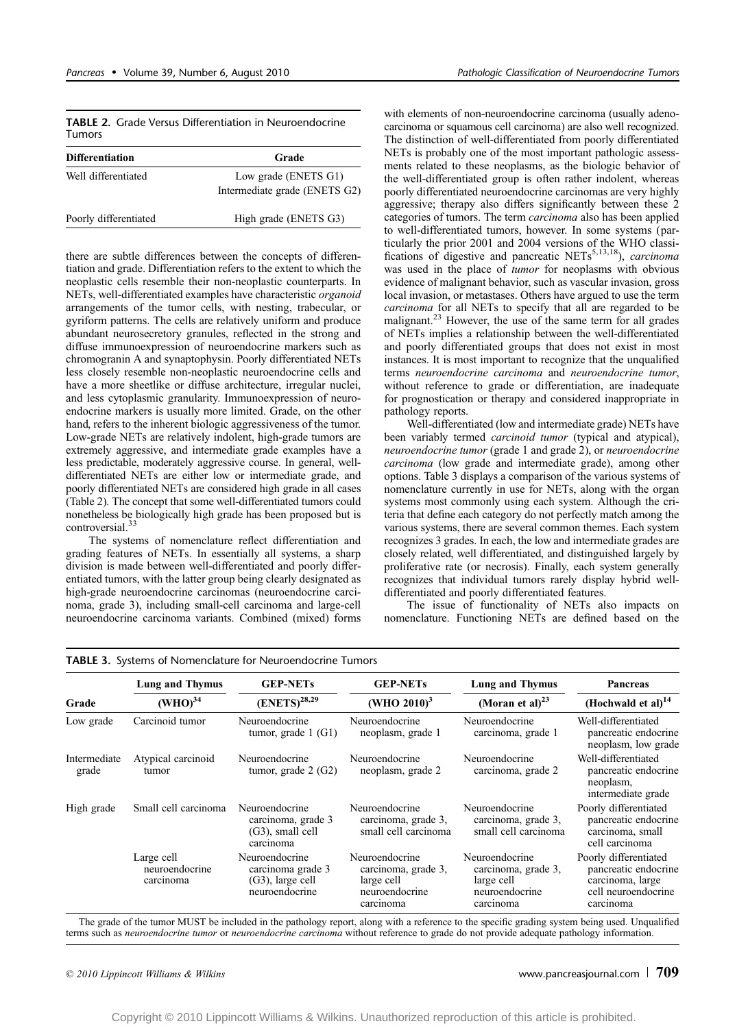|               |  | <b>TABLE 2.</b> Grade Versus Differentiation in Neuroendocrine |
|---------------|--|----------------------------------------------------------------|
| <b>Tumors</b> |  |                                                                |

| <b>Differentiation</b> | Grade                                                 |
|------------------------|-------------------------------------------------------|
| Well differentiated    | Low grade (ENETS G1)<br>Intermediate grade (ENETS G2) |
| Poorly differentiated  | High grade (ENETS G3)                                 |

there are subtle differences between the concepts of differentiation and grade. Differentiation refers to the extent to which the neoplastic cells resemble their non-neoplastic counterparts. In NETs, well-differentiated examples have characteristic organoid arrangements of the tumor cells, with nesting, trabecular, or gyriform patterns. The cells are relatively uniform and produce abundant neurosecretory granules, reflected in the strong and diffuse immunoexpression of neuroendocrine markers such as chromogranin A and synaptophysin. Poorly differentiated NETs less closely resemble non-neoplastic neuroendocrine cells and have a more sheetlike or diffuse architecture, irregular nuclei, and less cytoplasmic granularity. Immunoexpression of neuroendocrine markers is usually more limited. Grade, on the other hand, refers to the inherent biologic aggressiveness of the tumor. Low-grade NETs are relatively indolent, high-grade tumors are extremely aggressive, and intermediate grade examples have a less predictable, moderately aggressive course. In general, welldifferentiated NETs are either low or intermediate grade, and poorly differentiated NETs are considered high grade in all cases (Table 2). The concept that some well-differentiated tumors could nonetheless be biologically high grade has been proposed but is controversial.<sup>3</sup>

The systems of nomenclature reflect differentiation and grading features of NETs. In essentially all systems, a sharp division is made between well-differentiated and poorly differentiated tumors, with the latter group being clearly designated as high-grade neuroendocrine carcinomas (neuroendocrine carcinoma, grade 3), including small-cell carcinoma and large-cell neuroendocrine carcinoma variants. Combined (mixed) forms with elements of non-neuroendocrine carcinoma (usually adenocarcinoma or squamous cell carcinoma) are also well recognized. The distinction of well-differentiated from poorly differentiated NETs is probably one of the most important pathologic assessments related to these neoplasms, as the biologic behavior of the well-differentiated group is often rather indolent, whereas poorly differentiated neuroendocrine carcinomas are very highly aggressive; therapy also differs significantly between these 2 categories of tumors. The term carcinoma also has been applied to well-differentiated tumors, however. In some systems (particularly the prior 2001 and 2004 versions of the WHO classifications of digestive and pancreatic NETs<sup>5,13,18</sup>), *carcinoma* was used in the place of tumor for neoplasms with obvious evidence of malignant behavior, such as vascular invasion, gross local invasion, or metastases. Others have argued to use the term carcinoma for all NETs to specify that all are regarded to be malignant.<sup>23</sup> However, the use of the same term for all grades of NETs implies a relationship between the well-differentiated and poorly differentiated groups that does not exist in most instances. It is most important to recognize that the unqualified terms neuroendocrine carcinoma and neuroendocrine tumor, without reference to grade or differentiation, are inadequate for prognostication or therapy and considered inappropriate in pathology reports.

Well-differentiated (low and intermediate grade) NETs have been variably termed *carcinoid tumor* (typical and atypical), neuroendocrine tumor (grade 1 and grade 2), or neuroendocrine carcinoma (low grade and intermediate grade), among other options. Table 3 displays a comparison of the various systems of nomenclature currently in use for NETs, along with the organ systems most commonly using each system. Although the criteria that define each category do not perfectly match among the various systems, there are several common themes. Each system recognizes 3 grades. In each, the low and intermediate grades are closely related, well differentiated, and distinguished largely by proliferative rate (or necrosis). Finally, each system generally recognizes that individual tumors rarely display hybrid welldifferentiated and poorly differentiated features.

The issue of functionality of NETs also impacts on nomenclature. Functioning NETs are defined based on the

|                       | Lung and Thymus                           | <b>GEP-NETs</b>                                                              | <b>GEP-NETs</b>                                                                    | <b>Lung and Thymus</b>                                                             | <b>Pancreas</b>                                                                                       |
|-----------------------|-------------------------------------------|------------------------------------------------------------------------------|------------------------------------------------------------------------------------|------------------------------------------------------------------------------------|-------------------------------------------------------------------------------------------------------|
| Grade                 | (WHO) <sup>34</sup>                       | $(ENTER)^{28,29}$                                                            | (WHO $2010$ ) <sup>3</sup>                                                         | (Moran et al) $^{23}$                                                              | (Hochwald et al) $^{14}$                                                                              |
| Low grade             | Carcinoid tumor                           | Neuroendocrine<br>tumor, grade $1(G1)$                                       | Neuroendocrine<br>neoplasm, grade 1                                                | Neuroendocrine<br>carcinoma, grade 1                                               | Well-differentiated<br>pancreatic endocrine<br>neoplasm, low grade                                    |
| Intermediate<br>grade | Atypical carcinoid<br>tumor               | Neuroendocrine<br>tumor, grade $2(G2)$                                       | Neuroendocrine<br>neoplasm, grade 2                                                | Neuroendocrine<br>carcinoma, grade 2                                               | Well-differentiated<br>pancreatic endocrine<br>neoplasm,<br>intermediate grade                        |
| High grade            | Small cell carcinoma                      | Neuroendocrine<br>carcinoma, grade 3<br>$(G3)$ , small cell<br>carcinoma     | Neuroendocrine<br>carcinoma, grade 3,<br>small cell carcinoma                      | Neuroendocrine<br>carcinoma, grade 3,<br>small cell carcinoma                      | Poorly differentiated<br>pancreatic endocrine<br>carcinoma, small<br>cell carcinoma                   |
|                       | Large cell<br>neuroendocrine<br>carcinoma | Neuroendocrine<br>carcinoma grade 3<br>$(G3)$ , large cell<br>neuroendocrine | Neuroendocrine<br>carcinoma, grade 3,<br>large cell<br>neuroendocrine<br>carcinoma | Neuroendocrine<br>carcinoma, grade 3,<br>large cell<br>neuroendocrine<br>carcinoma | Poorly differentiated<br>pancreatic endocrine<br>carcinoma, large<br>cell neuroendocrine<br>carcinoma |

The grade of the tumor MUST be included in the pathology report, along with a reference to the specific grading system being used. Unqualified terms such as neuroendocrine tumor or neuroendocrine carcinoma without reference to grade do not provide adequate pathology information.

### © 2010 Lippincott Williams & Wilkins www.pancreasjournal.com  $\vert$  709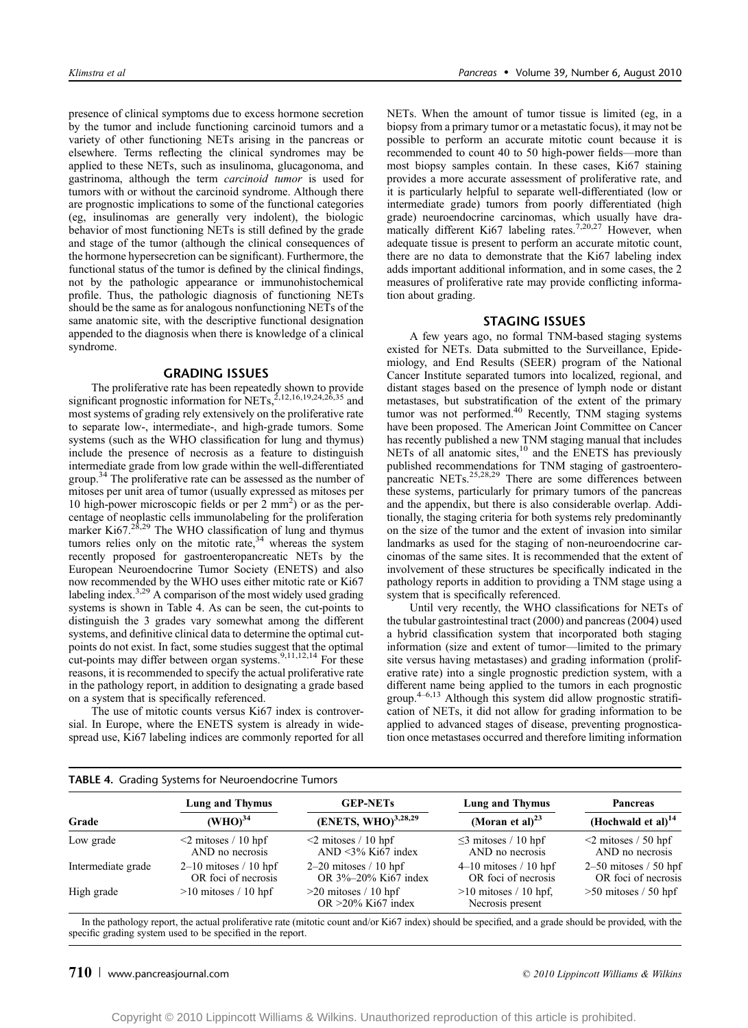presence of clinical symptoms due to excess hormone secretion by the tumor and include functioning carcinoid tumors and a variety of other functioning NETs arising in the pancreas or elsewhere. Terms reflecting the clinical syndromes may be applied to these NETs, such as insulinoma, glucagonoma, and gastrinoma, although the term carcinoid tumor is used for tumors with or without the carcinoid syndrome. Although there are prognostic implications to some of the functional categories (eg, insulinomas are generally very indolent), the biologic behavior of most functioning NETs is still defined by the grade and stage of the tumor (although the clinical consequences of the hormone hypersecretion can be significant). Furthermore, the functional status of the tumor is defined by the clinical findings, not by the pathologic appearance or immunohistochemical profile. Thus, the pathologic diagnosis of functioning NETs should be the same as for analogous nonfunctioning NETs of the same anatomic site, with the descriptive functional designation appended to the diagnosis when there is knowledge of a clinical syndrome.

#### GRADING ISSUES

The proliferative rate has been repeatedly shown to provide significant prognostic information for NETs,<sup>2,12,16,19,24,26,35</sup> and most systems of grading rely extensively on the proliferative rate to separate low-, intermediate-, and high-grade tumors. Some systems (such as the WHO classification for lung and thymus) include the presence of necrosis as a feature to distinguish intermediate grade from low grade within the well-differentiated group.34 The proliferative rate can be assessed as the number of mitoses per unit area of tumor (usually expressed as mitoses per 10 high-power microscopic fields or per 2 mm<sup>2</sup>) or as the percentage of neoplastic cells immunolabeling for the proliferation marker Ki67.<sup>28,29</sup> The WHO classification of lung and thymus tumors relies only on the mitotic rate, $34$  whereas the system recently proposed for gastroenteropancreatic NETs by the European Neuroendocrine Tumor Society (ENETS) and also now recommended by the WHO uses either mitotic rate or Ki67 labeling index.<sup>3,29</sup> A comparison of the most widely used grading systems is shown in Table 4. As can be seen, the cut-points to distinguish the 3 grades vary somewhat among the different systems, and definitive clinical data to determine the optimal cutpoints do not exist. In fact, some studies suggest that the optimal cut-points may differ between organ systems.<sup>9,11,12,14</sup> For these reasons, it is recommended to specify the actual proliferative rate in the pathology report, in addition to designating a grade based on a system that is specifically referenced.

The use of mitotic counts versus Ki67 index is controversial. In Europe, where the ENETS system is already in widespread use, Ki67 labeling indices are commonly reported for all NETs. When the amount of tumor tissue is limited (eg, in a biopsy from a primary tumor or a metastatic focus), it may not be possible to perform an accurate mitotic count because it is recommended to count 40 to 50 high-power fields—more than most biopsy samples contain. In these cases, Ki67 staining provides a more accurate assessment of proliferative rate, and it is particularly helpful to separate well-differentiated (low or intermediate grade) tumors from poorly differentiated (high grade) neuroendocrine carcinomas, which usually have dramatically different Ki67 labeling rates.<sup>7,20,27</sup> However, when adequate tissue is present to perform an accurate mitotic count, there are no data to demonstrate that the Ki67 labeling index adds important additional information, and in some cases, the 2 measures of proliferative rate may provide conflicting information about grading.

# STAGING ISSUES

A few years ago, no formal TNM-based staging systems existed for NETs. Data submitted to the Surveillance, Epidemiology, and End Results (SEER) program of the National Cancer Institute separated tumors into localized, regional, and distant stages based on the presence of lymph node or distant metastases, but substratification of the extent of the primary tumor was not performed.<sup>40</sup> Recently, TNM staging systems have been proposed. The American Joint Committee on Cancer has recently published a new TNM staging manual that includes<br>NETs of all anatomic sites,<sup>10</sup> and the ENETS has previously published recommendations for TNM staging of gastroenteropancreatic NETs.<sup>25,28,29</sup> There are some differences between these systems, particularly for primary tumors of the pancreas and the appendix, but there is also considerable overlap. Additionally, the staging criteria for both systems rely predominantly on the size of the tumor and the extent of invasion into similar landmarks as used for the staging of non-neuroendocrine carcinomas of the same sites. It is recommended that the extent of involvement of these structures be specifically indicated in the pathology reports in addition to providing a TNM stage using a system that is specifically referenced.

Until very recently, the WHO classifications for NETs of the tubular gastrointestinal tract (2000) and pancreas (2004) used a hybrid classification system that incorporated both staging information (size and extent of tumor—limited to the primary site versus having metastases) and grading information (proliferative rate) into a single prognostic prediction system, with a different name being applied to the tumors in each prognostic group.<sup>4-6,13</sup> Although this system did allow prognostic stratification of NETs, it did not allow for grading information to be applied to advanced stages of disease, preventing prognostication once metastases occurred and therefore limiting information

| <b>TABLE 4.</b> Grading Systems for Neuroendocrine Tumors |                                                |                                                       |                                                |                                                   |  |  |  |
|-----------------------------------------------------------|------------------------------------------------|-------------------------------------------------------|------------------------------------------------|---------------------------------------------------|--|--|--|
| Grade                                                     | <b>Lung and Thymus</b>                         | <b>GEP-NETs</b>                                       | Lung and Thymus                                | <b>Pancreas</b><br>(Hochwald et al) <sup>14</sup> |  |  |  |
|                                                           | $(WHO)^{34}$                                   | $(ENETS, WHO)^{3,28,29}$                              | (Moran et al) $^{23}$                          |                                                   |  |  |  |
| Low grade                                                 | $\leq$ 2 mitoses / 10 hpf<br>AND no necrosis   | $\leq$ 2 mitoses / 10 hpf<br>AND $\leq$ 3% Ki67 index | $\leq$ 3 mitoses / 10 hpf<br>AND no necrosis   | $\leq$ 2 mitoses / 50 hpf<br>AND no necrosis      |  |  |  |
| Intermediate grade                                        | $2-10$ mitoses / 10 hpf<br>OR foci of necrosis | $2-20$ mitoses / 10 hpf<br>OR 3%-20% Ki67 index       | $4-10$ mitoses / 10 hpf<br>OR foci of necrosis | $2-50$ mitoses / 50 hpf<br>OR foci of necrosis    |  |  |  |
| High grade                                                | $>10$ mitoses / 10 hpf                         | $>20$ mitoses / 10 hpf<br>OR $>20\%$ Ki67 index       | $>10$ mitoses / 10 hpf,<br>Necrosis present    | $>50$ mitoses / 50 hpf                            |  |  |  |

In the pathology report, the actual proliferative rate (mitotic count and/or Ki67 index) should be specified, and a grade should be provided, with the specific grading system used to be specified in the report.

# **710** www.pancreasjournal.com  $\odot$  2010 Lippincott Williams & Wilkins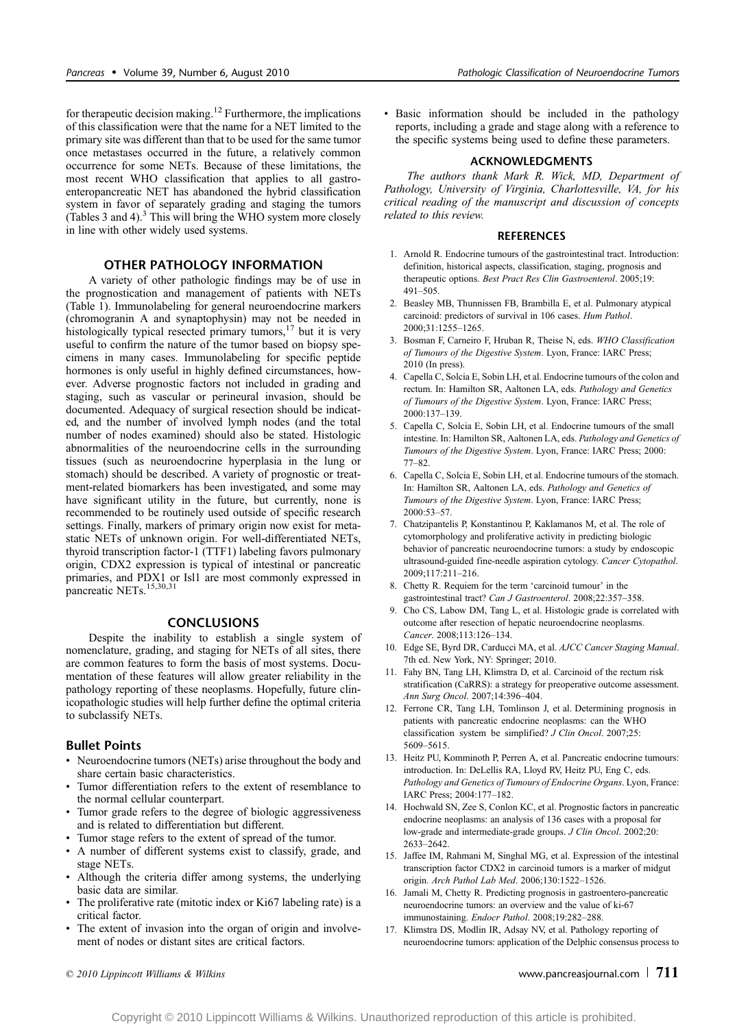for therapeutic decision making.<sup>12</sup> Furthermore, the implications of this classification were that the name for a NET limited to the primary site was different than that to be used for the same tumor once metastases occurred in the future, a relatively common occurrence for some NETs. Because of these limitations, the most recent WHO classification that applies to all gastroenteropancreatic NET has abandoned the hybrid classification system in favor of separately grading and staging the tumors (Tables 3 and 4).<sup>3</sup> This will bring the WHO system more closely in line with other widely used systems.

# OTHER PATHOLOGY INFORMATION

A variety of other pathologic findings may be of use in the prognostication and management of patients with NETs (Table 1). Immunolabeling for general neuroendocrine markers (chromogranin A and synaptophysin) may not be needed in histologically typical resected primary tumors, $17$  but it is very useful to confirm the nature of the tumor based on biopsy specimens in many cases. Immunolabeling for specific peptide hormones is only useful in highly defined circumstances, however. Adverse prognostic factors not included in grading and staging, such as vascular or perineural invasion, should be documented. Adequacy of surgical resection should be indicated, and the number of involved lymph nodes (and the total number of nodes examined) should also be stated. Histologic abnormalities of the neuroendocrine cells in the surrounding tissues (such as neuroendocrine hyperplasia in the lung or stomach) should be described. A variety of prognostic or treatment-related biomarkers has been investigated, and some may have significant utility in the future, but currently, none is recommended to be routinely used outside of specific research settings. Finally, markers of primary origin now exist for metastatic NETs of unknown origin. For well-differentiated NETs, thyroid transcription factor-1 (TTF1) labeling favors pulmonary origin, CDX2 expression is typical of intestinal or pancreatic primaries, and PDX1 or Isl1 are most commonly expressed in pancreatic NETs.<sup>15,30,31</sup>

#### CONCLUSIONS

Despite the inability to establish a single system of nomenclature, grading, and staging for NETs of all sites, there are common features to form the basis of most systems. Documentation of these features will allow greater reliability in the pathology reporting of these neoplasms. Hopefully, future clinicopathologic studies will help further define the optimal criteria to subclassify NETs.

#### Bullet Points

- & Neuroendocrine tumors (NETs) arise throughout the body and share certain basic characteristics.
- & Tumor differentiation refers to the extent of resemblance to the normal cellular counterpart.
- & Tumor grade refers to the degree of biologic aggressiveness and is related to differentiation but different.
- & Tumor stage refers to the extent of spread of the tumor.
- & A number of different systems exist to classify, grade, and stage NETs.
- & Although the criteria differ among systems, the underlying basic data are similar.
- The proliferative rate (mitotic index or Ki67 labeling rate) is a critical factor.
- The extent of invasion into the organ of origin and involvement of nodes or distant sites are critical factors.

& Basic information should be included in the pathology reports, including a grade and stage along with a reference to the specific systems being used to define these parameters.

### ACKNOWLEDGMENTS

The authors thank Mark R. Wick, MD, Department of Pathology, University of Virginia, Charlottesville, VA, for his critical reading of the manuscript and discussion of concepts related to this review.

#### **REFERENCES**

- 1. Arnold R. Endocrine tumours of the gastrointestinal tract. Introduction: definition, historical aspects, classification, staging, prognosis and therapeutic options. Best Pract Res Clin Gastroenterol. 2005;19:  $491 - 505$ .
- 2. Beasley MB, Thunnissen FB, Brambilla E, et al. Pulmonary atypical carcinoid: predictors of survival in 106 cases. Hum Pathol.  $2000:31:1255 - 1265$
- 3. Bosman F, Carneiro F, Hruban R, Theise N, eds. WHO Classification of Tumours of the Digestive System. Lyon, France: IARC Press; 2010 (In press).
- 4. Capella C, Solcia E, Sobin LH, et al. Endocrine tumours of the colon and rectum. In: Hamilton SR, Aaltonen LA, eds. Pathology and Genetics of Tumours of the Digestive System. Lyon, France: IARC Press; 2000:137-139.
- 5. Capella C, Solcia E, Sobin LH, et al. Endocrine tumours of the small intestine. In: Hamilton SR, Aaltonen LA, eds. Pathology and Genetics of Tumours of the Digestive System. Lyon, France: IARC Press; 2000:  $77 - 82.$
- 6. Capella C, Solcia E, Sobin LH, et al. Endocrine tumours of the stomach. In: Hamilton SR, Aaltonen LA, eds. Pathology and Genetics of Tumours of the Digestive System. Lyon, France: IARC Press;  $2000.53 - 57$
- 7. Chatzipantelis P, Konstantinou P, Kaklamanos M, et al. The role of cytomorphology and proliferative activity in predicting biologic behavior of pancreatic neuroendocrine tumors: a study by endoscopic ultrasound-guided fine-needle aspiration cytology. Cancer Cytopathol. 2009:117:211-216.
- 8. Chetty R. Requiem for the term 'carcinoid tumour' in the gastrointestinal tract? Can J Gastroenterol. 2008;22:357-358.
- 9. Cho CS, Labow DM, Tang L, et al. Histologic grade is correlated with outcome after resection of hepatic neuroendocrine neoplasms. Cancer. 2008:113:126-134.
- 10. Edge SE, Byrd DR, Carducci MA, et al. AJCC Cancer Staging Manual. 7th ed. New York, NY: Springer; 2010.
- 11. Fahy BN, Tang LH, Klimstra D, et al. Carcinoid of the rectum risk stratification (CaRRS): a strategy for preoperative outcome assessment. Ann Surg Oncol. 2007;14:396-404.
- 12. Ferrone CR, Tang LH, Tomlinson J, et al. Determining prognosis in patients with pancreatic endocrine neoplasms: can the WHO classification system be simplified? J Clin Oncol. 2007;25: 5609-5615
- 13. Heitz PU, Komminoth P, Perren A, et al. Pancreatic endocrine tumours: introduction. In: DeLellis RA, Lloyd RV, Heitz PU, Eng C, eds. Pathology and Genetics of Tumours of Endocrine Organs. Lyon, France: IARC Press; 2004:177-182.
- 14. Hochwald SN, Zee S, Conlon KC, et al. Prognostic factors in pancreatic endocrine neoplasms: an analysis of 136 cases with a proposal for low-grade and intermediate-grade groups. J Clin Oncol. 2002;20: 2633-2642.
- 15. Jaffee IM, Rahmani M, Singhal MG, et al. Expression of the intestinal transcription factor CDX2 in carcinoid tumors is a marker of midgut origin. Arch Pathol Lab Med. 2006;130:1522-1526.
- 16. Jamali M, Chetty R. Predicting prognosis in gastroentero-pancreatic neuroendocrine tumors: an overview and the value of ki-67 immunostaining. Endocr Pathol. 2008;19:282-288.
- 17. Klimstra DS, Modlin IR, Adsay NV, et al. Pathology reporting of neuroendocrine tumors: application of the Delphic consensus process to

© 2010 Lippincott Williams & Wilkins www.pancreasjournal.com |  $711$